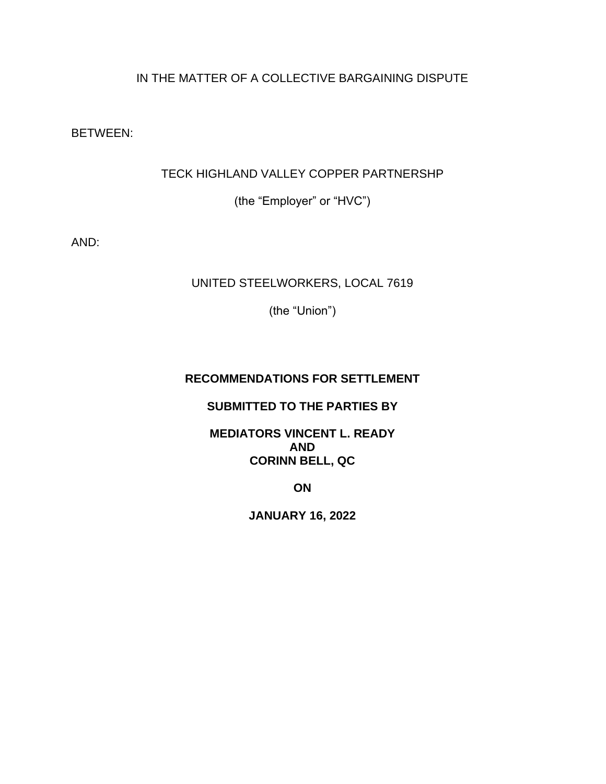# IN THE MATTER OF A COLLECTIVE BARGAINING DISPUTE

BETWEEN:

## TECK HIGHLAND VALLEY COPPER PARTNERSHP

(the "Employer" or "HVC")

AND:

## UNITED STEELWORKERS, LOCAL 7619

(the "Union")

## **RECOMMENDATIONS FOR SETTLEMENT**

### **SUBMITTED TO THE PARTIES BY**

### **MEDIATORS VINCENT L. READY AND CORINN BELL, QC**

**ON**

**JANUARY 16, 2022**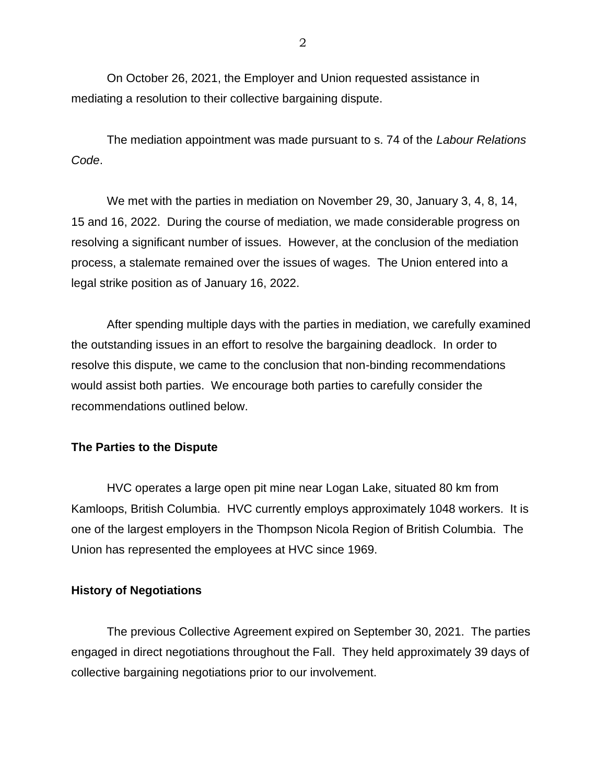On October 26, 2021, the Employer and Union requested assistance in mediating a resolution to their collective bargaining dispute.

The mediation appointment was made pursuant to s. 74 of the *Labour Relations Code*.

We met with the parties in mediation on November 29, 30, January 3, 4, 8, 14, 15 and 16, 2022. During the course of mediation, we made considerable progress on resolving a significant number of issues. However, at the conclusion of the mediation process, a stalemate remained over the issues of wages. The Union entered into a legal strike position as of January 16, 2022.

After spending multiple days with the parties in mediation, we carefully examined the outstanding issues in an effort to resolve the bargaining deadlock. In order to resolve this dispute, we came to the conclusion that non-binding recommendations would assist both parties. We encourage both parties to carefully consider the recommendations outlined below.

#### **The Parties to the Dispute**

HVC operates a large open pit mine near Logan Lake, situated 80 km from Kamloops, British Columbia. HVC currently employs approximately 1048 workers. It is one of the largest employers in the Thompson Nicola Region of British Columbia. The Union has represented the employees at HVC since 1969.

#### **History of Negotiations**

The previous Collective Agreement expired on September 30, 2021. The parties engaged in direct negotiations throughout the Fall. They held approximately 39 days of collective bargaining negotiations prior to our involvement.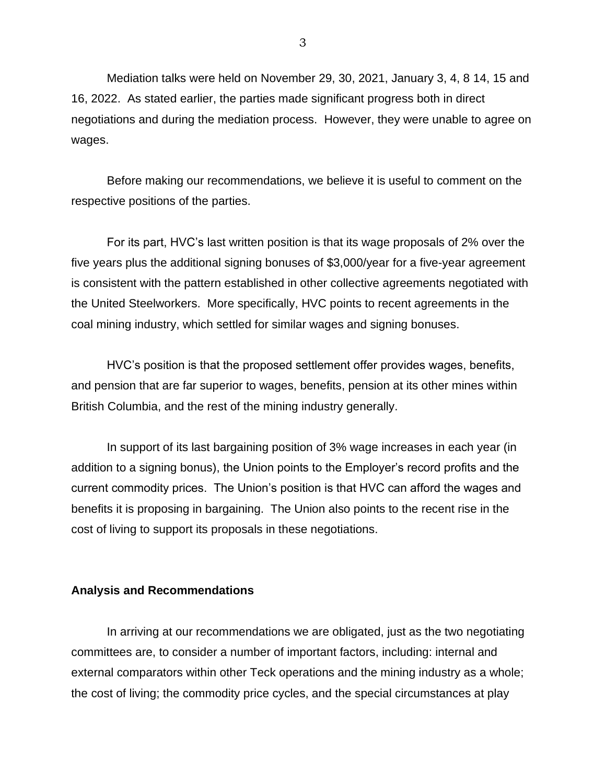Mediation talks were held on November 29, 30, 2021, January 3, 4, 8 14, 15 and 16, 2022. As stated earlier, the parties made significant progress both in direct negotiations and during the mediation process. However, they were unable to agree on wages.

Before making our recommendations, we believe it is useful to comment on the respective positions of the parties.

For its part, HVC's last written position is that its wage proposals of 2% over the five years plus the additional signing bonuses of \$3,000/year for a five-year agreement is consistent with the pattern established in other collective agreements negotiated with the United Steelworkers. More specifically, HVC points to recent agreements in the coal mining industry, which settled for similar wages and signing bonuses.

HVC's position is that the proposed settlement offer provides wages, benefits, and pension that are far superior to wages, benefits, pension at its other mines within British Columbia, and the rest of the mining industry generally.

In support of its last bargaining position of 3% wage increases in each year (in addition to a signing bonus), the Union points to the Employer's record profits and the current commodity prices. The Union's position is that HVC can afford the wages and benefits it is proposing in bargaining. The Union also points to the recent rise in the cost of living to support its proposals in these negotiations.

#### **Analysis and Recommendations**

In arriving at our recommendations we are obligated, just as the two negotiating committees are, to consider a number of important factors, including: internal and external comparators within other Teck operations and the mining industry as a whole; the cost of living; the commodity price cycles, and the special circumstances at play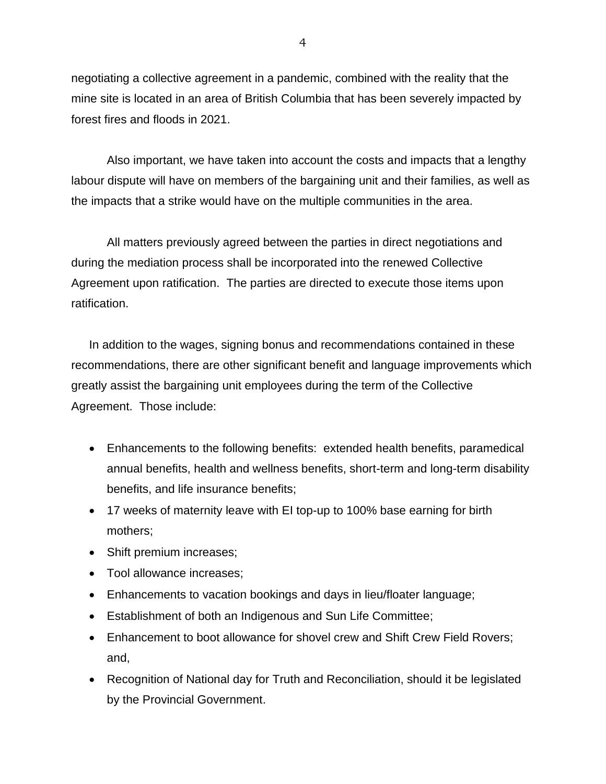negotiating a collective agreement in a pandemic, combined with the reality that the mine site is located in an area of British Columbia that has been severely impacted by forest fires and floods in 2021.

Also important, we have taken into account the costs and impacts that a lengthy labour dispute will have on members of the bargaining unit and their families, as well as the impacts that a strike would have on the multiple communities in the area.

All matters previously agreed between the parties in direct negotiations and during the mediation process shall be incorporated into the renewed Collective Agreement upon ratification. The parties are directed to execute those items upon ratification.

In addition to the wages, signing bonus and recommendations contained in these recommendations, there are other significant benefit and language improvements which greatly assist the bargaining unit employees during the term of the Collective Agreement. Those include:

- Enhancements to the following benefits: extended health benefits, paramedical annual benefits, health and wellness benefits, short-term and long-term disability benefits, and life insurance benefits;
- 17 weeks of maternity leave with EI top-up to 100% base earning for birth mothers;
- Shift premium increases;
- Tool allowance increases;
- Enhancements to vacation bookings and days in lieu/floater language;
- Establishment of both an Indigenous and Sun Life Committee;
- Enhancement to boot allowance for shovel crew and Shift Crew Field Rovers; and,
- Recognition of National day for Truth and Reconciliation, should it be legislated by the Provincial Government.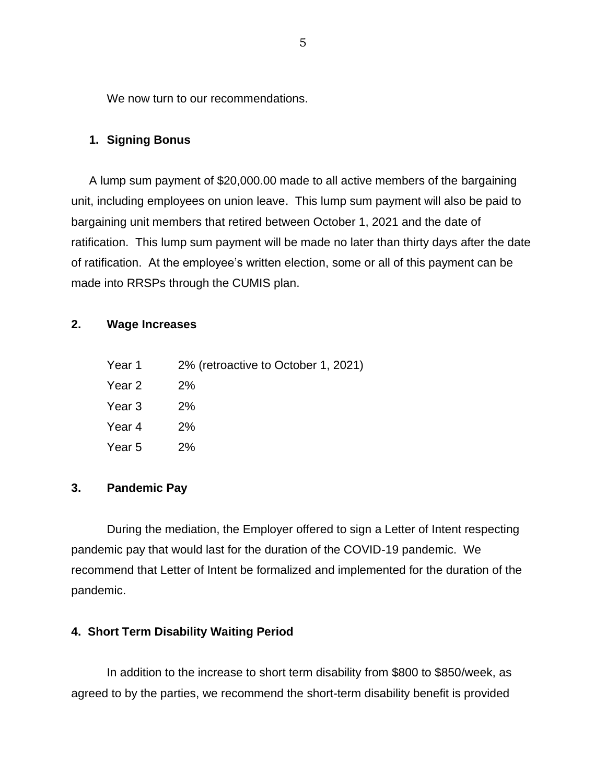We now turn to our recommendations.

### **1. Signing Bonus**

A lump sum payment of \$20,000.00 made to all active members of the bargaining unit, including employees on union leave. This lump sum payment will also be paid to bargaining unit members that retired between October 1, 2021 and the date of ratification. This lump sum payment will be made no later than thirty days after the date of ratification. At the employee's written election, some or all of this payment can be made into RRSPs through the CUMIS plan.

### **2. Wage Increases**

- Year 1 2% (retroactive to October 1, 2021)
- Year 2 2%
- Year 3 2%
- Year  $4$  2%
- Year 5 2%

### **3. Pandemic Pay**

During the mediation, the Employer offered to sign a Letter of Intent respecting pandemic pay that would last for the duration of the COVID-19 pandemic. We recommend that Letter of Intent be formalized and implemented for the duration of the pandemic.

### **4. Short Term Disability Waiting Period**

In addition to the increase to short term disability from \$800 to \$850/week, as agreed to by the parties, we recommend the short-term disability benefit is provided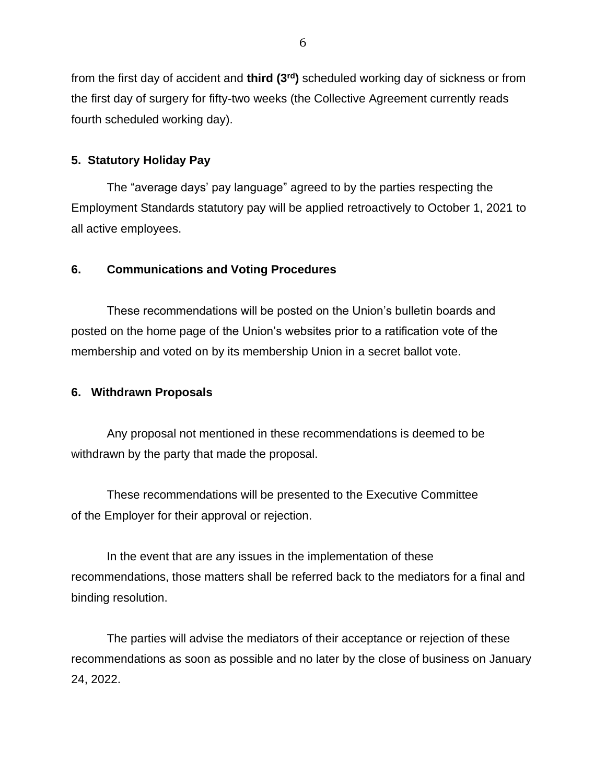from the first day of accident and **third (3rd)** scheduled working day of sickness or from the first day of surgery for fifty-two weeks (the Collective Agreement currently reads fourth scheduled working day).

### **5. Statutory Holiday Pay**

The "average days' pay language" agreed to by the parties respecting the Employment Standards statutory pay will be applied retroactively to October 1, 2021 to all active employees.

## **6. Communications and Voting Procedures**

These recommendations will be posted on the Union's bulletin boards and posted on the home page of the Union's websites prior to a ratification vote of the membership and voted on by its membership Union in a secret ballot vote.

### **6. Withdrawn Proposals**

Any proposal not mentioned in these recommendations is deemed to be withdrawn by the party that made the proposal.

These recommendations will be presented to the Executive Committee of the Employer for their approval or rejection.

In the event that are any issues in the implementation of these recommendations, those matters shall be referred back to the mediators for a final and binding resolution.

The parties will advise the mediators of their acceptance or rejection of these recommendations as soon as possible and no later by the close of business on January 24, 2022.